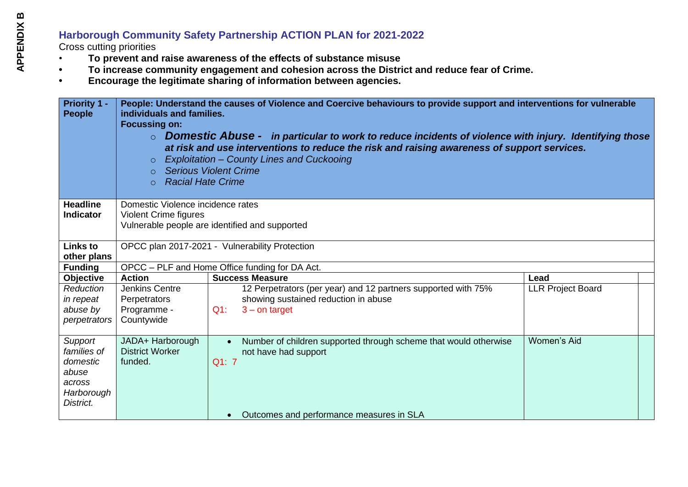## **Harborough Community Safety Partnership ACTION PLAN for 2021-2022**

Cross cutting priorities

- **To prevent and raise awareness of the effects of substance misuse**
- **• To increase community engagement and cohesion across the District and reduce fear of Crime.**
- **• Encourage the legitimate sharing of information between agencies.**

| <b>Priority 1 -</b><br><b>People</b> | individuals and families.<br><b>Focussing on:</b><br>$\circ$<br>$\circ$<br><b>Racial Hate Crime</b><br>$\circ$ | People: Understand the causes of Violence and Coercive behaviours to provide support and interventions for vulnerable<br>$\circ$ Domestic Abuse - in particular to work to reduce incidents of violence with injury. Identifying those<br>at risk and use interventions to reduce the risk and raising awareness of support services.<br>Exploitation - County Lines and Cuckooing<br><b>Serious Violent Crime</b> |                          |
|--------------------------------------|----------------------------------------------------------------------------------------------------------------|--------------------------------------------------------------------------------------------------------------------------------------------------------------------------------------------------------------------------------------------------------------------------------------------------------------------------------------------------------------------------------------------------------------------|--------------------------|
| <b>Headline</b>                      | Domestic Violence incidence rates                                                                              |                                                                                                                                                                                                                                                                                                                                                                                                                    |                          |
| <b>Indicator</b>                     | <b>Violent Crime figures</b>                                                                                   |                                                                                                                                                                                                                                                                                                                                                                                                                    |                          |
|                                      |                                                                                                                | Vulnerable people are identified and supported                                                                                                                                                                                                                                                                                                                                                                     |                          |
| <b>Links to</b>                      | OPCC plan 2017-2021 - Vulnerability Protection                                                                 |                                                                                                                                                                                                                                                                                                                                                                                                                    |                          |
| other plans                          |                                                                                                                |                                                                                                                                                                                                                                                                                                                                                                                                                    |                          |
| <b>Funding</b>                       |                                                                                                                | OPCC - PLF and Home Office funding for DA Act.                                                                                                                                                                                                                                                                                                                                                                     |                          |
| <b>Objective</b>                     | <b>Action</b>                                                                                                  | <b>Success Measure</b>                                                                                                                                                                                                                                                                                                                                                                                             | Lead                     |
| Reduction                            | <b>Jenkins Centre</b>                                                                                          | 12 Perpetrators (per year) and 12 partners supported with 75%                                                                                                                                                                                                                                                                                                                                                      | <b>LLR Project Board</b> |
| in repeat                            | Perpetrators                                                                                                   | showing sustained reduction in abuse                                                                                                                                                                                                                                                                                                                                                                               |                          |
| abuse by                             | Programme -                                                                                                    | $Q1$ :<br>$3 -$ on target                                                                                                                                                                                                                                                                                                                                                                                          |                          |
| perpetrators                         | Countywide                                                                                                     |                                                                                                                                                                                                                                                                                                                                                                                                                    |                          |
| Support                              | JADA+ Harborough                                                                                               | Number of children supported through scheme that would otherwise<br>$\bullet$                                                                                                                                                                                                                                                                                                                                      | <b>Women's Aid</b>       |
| families of                          | <b>District Worker</b>                                                                                         | not have had support                                                                                                                                                                                                                                                                                                                                                                                               |                          |
| domestic                             | funded.                                                                                                        | Q1: 7                                                                                                                                                                                                                                                                                                                                                                                                              |                          |
| abuse                                |                                                                                                                |                                                                                                                                                                                                                                                                                                                                                                                                                    |                          |
| across                               |                                                                                                                |                                                                                                                                                                                                                                                                                                                                                                                                                    |                          |
| Harborough                           |                                                                                                                |                                                                                                                                                                                                                                                                                                                                                                                                                    |                          |
| District.                            |                                                                                                                |                                                                                                                                                                                                                                                                                                                                                                                                                    |                          |
|                                      |                                                                                                                | Outcomes and performance measures in SLA                                                                                                                                                                                                                                                                                                                                                                           |                          |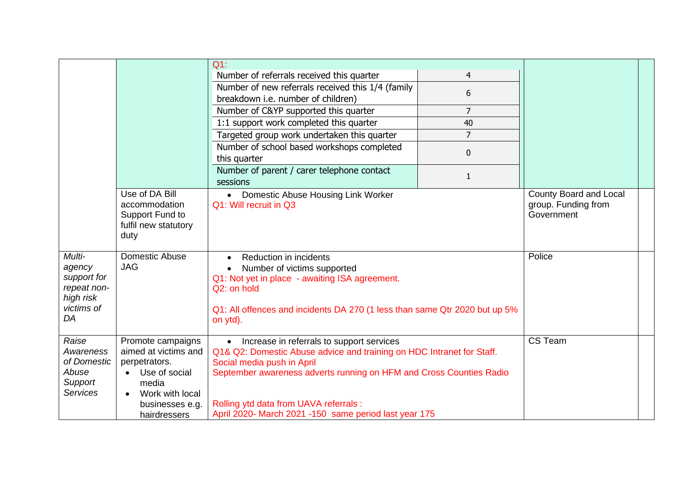|                                                                                 |                                                                                                                                                         | $Q1$ :                                                                                                                                                                                                                                                                                                                       |                |                                                             |
|---------------------------------------------------------------------------------|---------------------------------------------------------------------------------------------------------------------------------------------------------|------------------------------------------------------------------------------------------------------------------------------------------------------------------------------------------------------------------------------------------------------------------------------------------------------------------------------|----------------|-------------------------------------------------------------|
|                                                                                 |                                                                                                                                                         | Number of referrals received this quarter                                                                                                                                                                                                                                                                                    | $\overline{4}$ |                                                             |
|                                                                                 |                                                                                                                                                         | Number of new referrals received this 1/4 (family                                                                                                                                                                                                                                                                            | 6              |                                                             |
|                                                                                 |                                                                                                                                                         | breakdown i.e. number of children)                                                                                                                                                                                                                                                                                           |                |                                                             |
|                                                                                 |                                                                                                                                                         | Number of C&YP supported this quarter                                                                                                                                                                                                                                                                                        | $\overline{7}$ |                                                             |
|                                                                                 |                                                                                                                                                         | 1:1 support work completed this quarter                                                                                                                                                                                                                                                                                      | 40             |                                                             |
|                                                                                 |                                                                                                                                                         | Targeted group work undertaken this quarter                                                                                                                                                                                                                                                                                  | $\overline{7}$ |                                                             |
|                                                                                 |                                                                                                                                                         | Number of school based workshops completed                                                                                                                                                                                                                                                                                   |                |                                                             |
|                                                                                 |                                                                                                                                                         | this quarter                                                                                                                                                                                                                                                                                                                 | 0              |                                                             |
|                                                                                 |                                                                                                                                                         | Number of parent / carer telephone contact                                                                                                                                                                                                                                                                                   |                |                                                             |
|                                                                                 |                                                                                                                                                         | sessions                                                                                                                                                                                                                                                                                                                     | $\mathbf{1}$   |                                                             |
|                                                                                 | Use of DA Bill<br>accommodation<br>Support Fund to<br>fulfil new statutory<br>duty                                                                      | • Domestic Abuse Housing Link Worker<br>Q1: Will recruit in Q3                                                                                                                                                                                                                                                               |                | County Board and Local<br>group. Funding from<br>Government |
| Multi-<br>agency<br>support for<br>repeat non-<br>high risk<br>victims of<br>DA | Domestic Abuse<br><b>JAG</b>                                                                                                                            | Reduction in incidents<br>Number of victims supported<br>Q1: Not yet in place - awaiting ISA agreement.<br>Q2: on hold<br>Q1: All offences and incidents DA 270 (1 less than same Qtr 2020 but up 5%<br>on ytd).                                                                                                             |                | Police                                                      |
| Raise<br>Awareness<br>of Domestic<br>Abuse<br>Support<br><b>Services</b>        | Promote campaigns<br>aimed at victims and<br>perpetrators.<br>Use of social<br>media<br>Work with local<br>$\bullet$<br>businesses e.g.<br>hairdressers | • Increase in referrals to support services<br>Q1& Q2: Domestic Abuse advice and training on HDC Intranet for Staff.<br>Social media push in April<br>September awareness adverts running on HFM and Cross Counties Radio<br>Rolling ytd data from UAVA referrals :<br>April 2020- March 2021 -150 same period last year 175 |                | CS Team                                                     |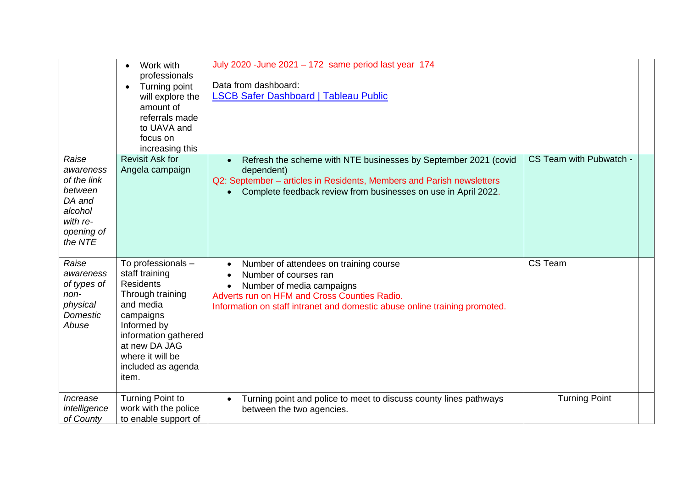|                                                                                                        | Work with<br>$\bullet$<br>professionals<br>Turning point<br>$\bullet$<br>will explore the<br>amount of<br>referrals made<br>to UAVA and<br>focus on<br>increasing this                                            | July 2020 - June 2021 - 172 same period last year 174<br>Data from dashboard:<br><b>LSCB Safer Dashboard   Tableau Public</b>                                                                                                                        |                         |  |
|--------------------------------------------------------------------------------------------------------|-------------------------------------------------------------------------------------------------------------------------------------------------------------------------------------------------------------------|------------------------------------------------------------------------------------------------------------------------------------------------------------------------------------------------------------------------------------------------------|-------------------------|--|
| Raise<br>awareness<br>of the link<br>between<br>DA and<br>alcohol<br>with re-<br>opening of<br>the NTE | <b>Revisit Ask for</b><br>Angela campaign                                                                                                                                                                         | Refresh the scheme with NTE businesses by September 2021 (covid<br>dependent)<br>Q2: September - articles in Residents, Members and Parish newsletters<br>Complete feedback review from businesses on use in April 2022.<br>$\bullet$                | CS Team with Pubwatch - |  |
| Raise<br>awareness<br>of types of<br>non-<br>physical<br>Domestic<br>Abuse                             | To professionals -<br>staff training<br><b>Residents</b><br>Through training<br>and media<br>campaigns<br>Informed by<br>information gathered<br>at new DA JAG<br>where it will be<br>included as agenda<br>item. | Number of attendees on training course<br>$\bullet$<br>Number of courses ran<br>$\bullet$<br>Number of media campaigns<br>Adverts run on HFM and Cross Counties Radio.<br>Information on staff intranet and domestic abuse online training promoted. | CS Team                 |  |
| Increase<br>intelligence<br>of County                                                                  | <b>Turning Point to</b><br>work with the police<br>to enable support of                                                                                                                                           | Turning point and police to meet to discuss county lines pathways<br>$\bullet$<br>between the two agencies.                                                                                                                                          | <b>Turning Point</b>    |  |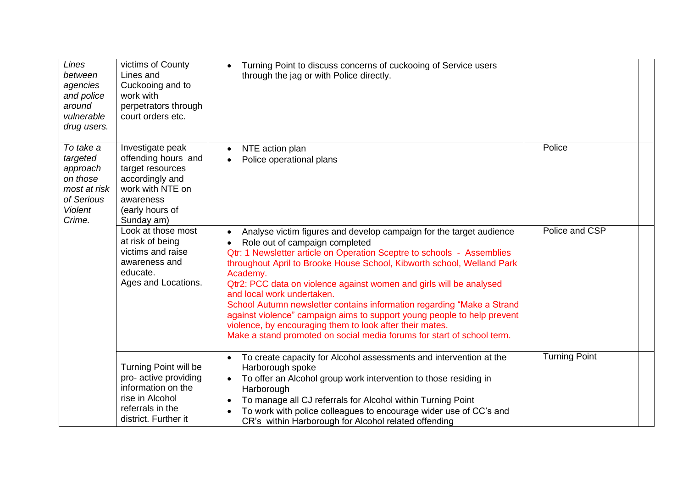| Lines<br>between<br>agencies<br>and police<br>around<br>vulnerable<br>drug users.                       | victims of County<br>Lines and<br>Cuckooing and to<br>work with<br>perpetrators through<br>court orders etc.                                     | Turning Point to discuss concerns of cuckooing of Service users<br>through the jag or with Police directly.                                                                                                                                                                                                                                                                                                                                                                                                                                                                                                                                                                        |                      |  |
|---------------------------------------------------------------------------------------------------------|--------------------------------------------------------------------------------------------------------------------------------------------------|------------------------------------------------------------------------------------------------------------------------------------------------------------------------------------------------------------------------------------------------------------------------------------------------------------------------------------------------------------------------------------------------------------------------------------------------------------------------------------------------------------------------------------------------------------------------------------------------------------------------------------------------------------------------------------|----------------------|--|
| To take a<br>targeted<br>approach<br>on those<br>most at risk<br>of Serious<br><b>Violent</b><br>Crime. | Investigate peak<br>offending hours and<br>target resources<br>accordingly and<br>work with NTE on<br>awareness<br>(early hours of<br>Sunday am) | NTE action plan<br>$\bullet$<br>Police operational plans<br>$\bullet$                                                                                                                                                                                                                                                                                                                                                                                                                                                                                                                                                                                                              | Police               |  |
|                                                                                                         | Look at those most<br>at risk of being<br>victims and raise<br>awareness and<br>educate.<br>Ages and Locations.                                  | Analyse victim figures and develop campaign for the target audience<br>$\bullet$<br>Role out of campaign completed<br>Qtr: 1 Newsletter article on Operation Sceptre to schools - Assemblies<br>throughout April to Brooke House School, Kibworth school, Welland Park<br>Academy.<br>Qtr2: PCC data on violence against women and girls will be analysed<br>and local work undertaken.<br>School Autumn newsletter contains information regarding "Make a Strand<br>against violence" campaign aims to support young people to help prevent<br>violence, by encouraging them to look after their mates.<br>Make a stand promoted on social media forums for start of school term. | Police and CSP       |  |
|                                                                                                         | Turning Point will be<br>pro- active providing<br>information on the<br>rise in Alcohol<br>referrals in the<br>district. Further it              | To create capacity for Alcohol assessments and intervention at the<br>Harborough spoke<br>To offer an Alcohol group work intervention to those residing in<br>Harborough<br>To manage all CJ referrals for Alcohol within Turning Point<br>To work with police colleagues to encourage wider use of CC's and<br>CR's within Harborough for Alcohol related offending                                                                                                                                                                                                                                                                                                               | <b>Turning Point</b> |  |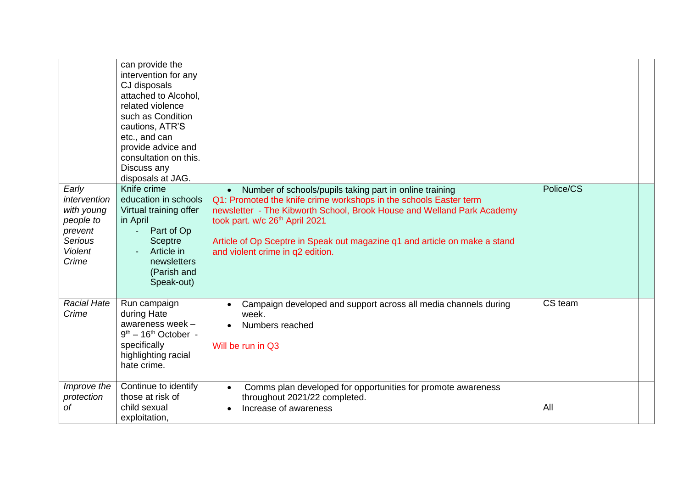|                                                                                                          | can provide the<br>intervention for any<br>CJ disposals<br>attached to Alcohol,<br>related violence<br>such as Condition<br>cautions, ATR'S<br>etc., and can<br>provide advice and<br>consultation on this.<br>Discuss any<br>disposals at JAG. |                                                                                                                                                                                                                                                                                                                                                                                     |           |  |
|----------------------------------------------------------------------------------------------------------|-------------------------------------------------------------------------------------------------------------------------------------------------------------------------------------------------------------------------------------------------|-------------------------------------------------------------------------------------------------------------------------------------------------------------------------------------------------------------------------------------------------------------------------------------------------------------------------------------------------------------------------------------|-----------|--|
| Early<br>intervention<br>with young<br>people to<br>prevent<br><b>Serious</b><br><b>Violent</b><br>Crime | Knife crime<br>education in schools<br>Virtual training offer<br>in April<br>Part of Op<br><b>Sceptre</b><br>Article in<br>newsletters<br>(Parish and<br>Speak-out)                                                                             | Number of schools/pupils taking part in online training<br>$\bullet$<br>Q1: Promoted the knife crime workshops in the schools Easter term<br>newsletter - The Kibworth School, Brook House and Welland Park Academy<br>took part. w/c 26 <sup>th</sup> April 2021<br>Article of Op Sceptre in Speak out magazine q1 and article on make a stand<br>and violent crime in q2 edition. | Police/CS |  |
| <b>Racial Hate</b><br>Crime                                                                              | Run campaign<br>during Hate<br>awareness week -<br>$9th - 16th October -$<br>specifically<br>highlighting racial<br>hate crime.                                                                                                                 | Campaign developed and support across all media channels during<br>$\bullet$<br>week.<br>Numbers reached<br>$\bullet$<br>Will be run in Q3                                                                                                                                                                                                                                          | CS team   |  |
| Improve the<br>protection<br>of                                                                          | Continue to identify<br>those at risk of<br>child sexual<br>exploitation,                                                                                                                                                                       | Comms plan developed for opportunities for promote awareness<br>$\bullet$<br>throughout 2021/22 completed.<br>Increase of awareness<br>$\bullet$                                                                                                                                                                                                                                    | All       |  |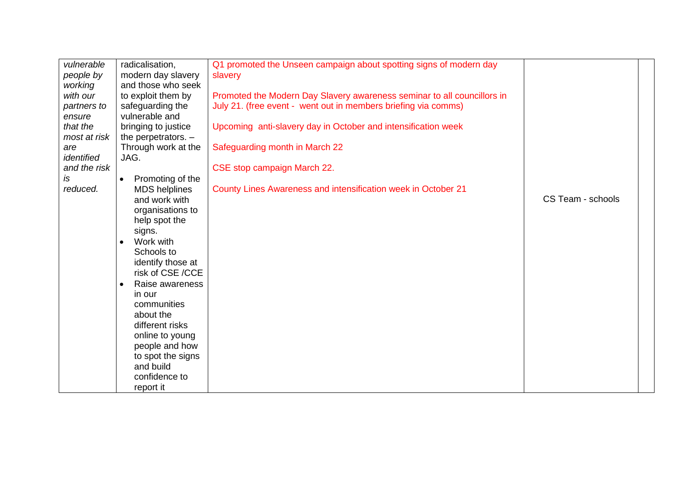| vulnerable   | radicalisation,               | Q1 promoted the Unseen campaign about spotting signs of modern day      |                   |  |
|--------------|-------------------------------|-------------------------------------------------------------------------|-------------------|--|
| people by    | modern day slavery            | slavery                                                                 |                   |  |
| working      | and those who seek            |                                                                         |                   |  |
| with our     | to exploit them by            | Promoted the Modern Day Slavery awareness seminar to all councillors in |                   |  |
| partners to  | safeguarding the              | July 21. (free event - went out in members briefing via comms)          |                   |  |
| ensure       | vulnerable and                |                                                                         |                   |  |
| that the     | bringing to justice           | Upcoming anti-slavery day in October and intensification week           |                   |  |
| most at risk | the perpetrators. $-$         |                                                                         |                   |  |
| are          | Through work at the           | Safeguarding month in March 22                                          |                   |  |
| identified   | JAG.                          |                                                                         |                   |  |
| and the risk |                               | CSE stop campaign March 22.                                             |                   |  |
| is           | Promoting of the<br>$\bullet$ |                                                                         |                   |  |
| reduced.     | <b>MDS</b> helplines          | County Lines Awareness and intensification week in October 21           |                   |  |
|              | and work with                 |                                                                         | CS Team - schools |  |
|              | organisations to              |                                                                         |                   |  |
|              | help spot the                 |                                                                         |                   |  |
|              | signs.                        |                                                                         |                   |  |
|              | Work with                     |                                                                         |                   |  |
|              | Schools to                    |                                                                         |                   |  |
|              | identify those at             |                                                                         |                   |  |
|              | risk of CSE /CCE              |                                                                         |                   |  |
|              | Raise awareness               |                                                                         |                   |  |
|              | in our                        |                                                                         |                   |  |
|              | communities                   |                                                                         |                   |  |
|              | about the                     |                                                                         |                   |  |
|              | different risks               |                                                                         |                   |  |
|              | online to young               |                                                                         |                   |  |
|              | people and how                |                                                                         |                   |  |
|              | to spot the signs             |                                                                         |                   |  |
|              | and build                     |                                                                         |                   |  |
|              | confidence to                 |                                                                         |                   |  |
|              | report it                     |                                                                         |                   |  |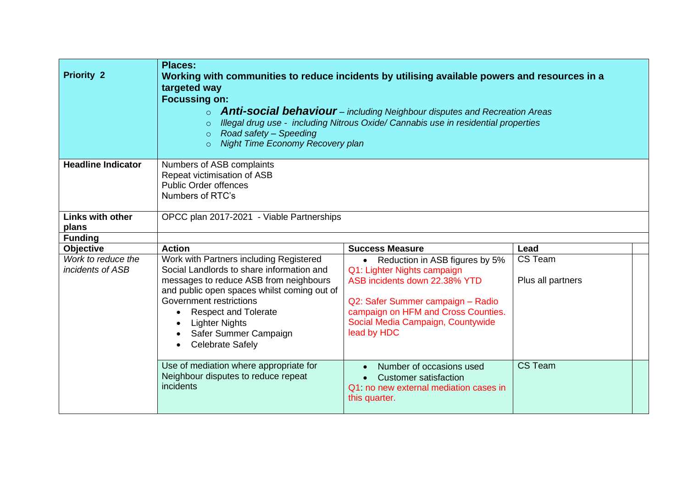| <b>Priority 2</b>                      | <b>Places:</b><br>Working with communities to reduce incidents by utilising available powers and resources in a<br>targeted way<br><b>Focussing on:</b><br>○ <b>Anti-social behaviour</b> – including Neighbour disputes and Recreation Areas<br>Illegal drug use - including Nitrous Oxide/ Cannabis use in residential properties<br>$\circ$<br>Road safety - Speeding<br>$\circ$<br><b>Night Time Economy Recovery plan</b><br>$\circ$ |                                                                                                                                                                                                                                             |                              |  |
|----------------------------------------|-------------------------------------------------------------------------------------------------------------------------------------------------------------------------------------------------------------------------------------------------------------------------------------------------------------------------------------------------------------------------------------------------------------------------------------------|---------------------------------------------------------------------------------------------------------------------------------------------------------------------------------------------------------------------------------------------|------------------------------|--|
| <b>Headline Indicator</b>              | Numbers of ASB complaints<br>Repeat victimisation of ASB<br><b>Public Order offences</b><br>Numbers of RTC's                                                                                                                                                                                                                                                                                                                              |                                                                                                                                                                                                                                             |                              |  |
| <b>Links with other</b><br>plans       | OPCC plan 2017-2021 - Viable Partnerships                                                                                                                                                                                                                                                                                                                                                                                                 |                                                                                                                                                                                                                                             |                              |  |
| <b>Funding</b>                         |                                                                                                                                                                                                                                                                                                                                                                                                                                           |                                                                                                                                                                                                                                             |                              |  |
| <b>Objective</b>                       | <b>Action</b>                                                                                                                                                                                                                                                                                                                                                                                                                             | <b>Success Measure</b>                                                                                                                                                                                                                      | Lead                         |  |
| Work to reduce the<br>incidents of ASB | Work with Partners including Registered<br>Social Landlords to share information and<br>messages to reduce ASB from neighbours<br>and public open spaces whilst coming out of<br>Government restrictions<br><b>Respect and Tolerate</b><br><b>Lighter Nights</b><br>Safer Summer Campaign<br><b>Celebrate Safely</b><br>$\bullet$                                                                                                         | Reduction in ASB figures by 5%<br>$\bullet$<br>Q1: Lighter Nights campaign<br>ASB incidents down 22.38% YTD<br>Q2: Safer Summer campaign - Radio<br>campaign on HFM and Cross Counties.<br>Social Media Campaign, Countywide<br>lead by HDC | CS Team<br>Plus all partners |  |
|                                        | Use of mediation where appropriate for<br>Neighbour disputes to reduce repeat<br>incidents                                                                                                                                                                                                                                                                                                                                                | Number of occasions used<br><b>Customer satisfaction</b><br>Q1: no new external mediation cases in<br>this quarter.                                                                                                                         | CS Team                      |  |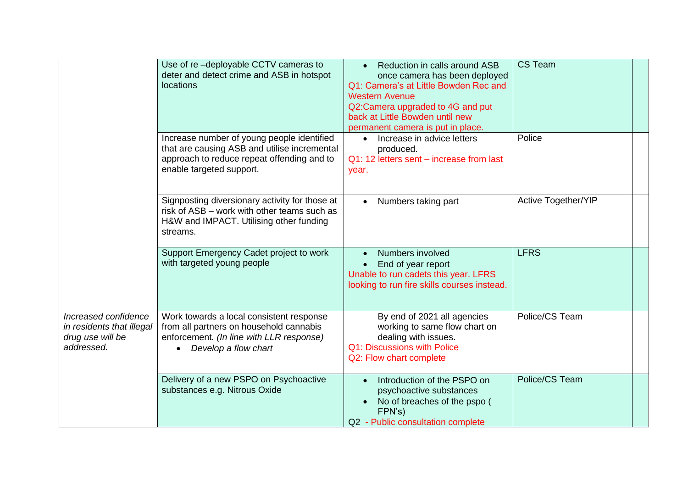|                                                                                     | Use of re-deployable CCTV cameras to<br>deter and detect crime and ASB in hotspot<br>locations                                                                       | Reduction in calls around ASB<br>once camera has been deployed<br>Q1: Camera's at Little Bowden Rec and<br><b>Western Avenue</b><br>Q2:Camera upgraded to 4G and put<br>back at Little Bowden until new<br>permanent camera is put in place. | CS Team                    |  |
|-------------------------------------------------------------------------------------|----------------------------------------------------------------------------------------------------------------------------------------------------------------------|----------------------------------------------------------------------------------------------------------------------------------------------------------------------------------------------------------------------------------------------|----------------------------|--|
|                                                                                     | Increase number of young people identified<br>that are causing ASB and utilise incremental<br>approach to reduce repeat offending and to<br>enable targeted support. | Increase in advice letters<br>produced.<br>Q1: 12 letters sent – increase from last<br>year.                                                                                                                                                 | Police                     |  |
|                                                                                     | Signposting diversionary activity for those at<br>risk of ASB - work with other teams such as<br>H&W and IMPACT. Utilising other funding<br>streams.                 | Numbers taking part                                                                                                                                                                                                                          | <b>Active Together/YIP</b> |  |
|                                                                                     | Support Emergency Cadet project to work<br>with targeted young people                                                                                                | Numbers involved<br>End of year report<br>Unable to run cadets this year. LFRS<br>looking to run fire skills courses instead.                                                                                                                | <b>LFRS</b>                |  |
| Increased confidence<br>in residents that illegal<br>drug use will be<br>addressed. | Work towards a local consistent response<br>from all partners on household cannabis<br>enforcement. (In line with LLR response)<br>Develop a flow chart              | By end of 2021 all agencies<br>working to same flow chart on<br>dealing with issues.<br>Q1: Discussions with Police<br>Q2: Flow chart complete                                                                                               | Police/CS Team             |  |
|                                                                                     | Delivery of a new PSPO on Psychoactive<br>substances e.g. Nitrous Oxide                                                                                              | Introduction of the PSPO on<br>psychoactive substances<br>No of breaches of the pspo (<br>FPN's)<br>Q2 - Public consultation complete                                                                                                        | Police/CS Team             |  |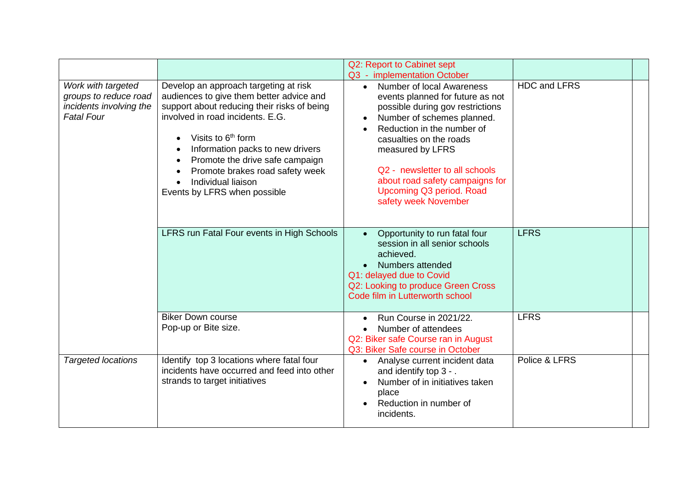|                                                                                             |                                                                                                                                                                                                                                                                                                                                                                        | Q2: Report to Cabinet sept<br>Q3 - implementation October                                                                                                                                                                                                                                                                                                 |                     |  |
|---------------------------------------------------------------------------------------------|------------------------------------------------------------------------------------------------------------------------------------------------------------------------------------------------------------------------------------------------------------------------------------------------------------------------------------------------------------------------|-----------------------------------------------------------------------------------------------------------------------------------------------------------------------------------------------------------------------------------------------------------------------------------------------------------------------------------------------------------|---------------------|--|
| Work with targeted<br>groups to reduce road<br>incidents involving the<br><b>Fatal Four</b> | Develop an approach targeting at risk<br>audiences to give them better advice and<br>support about reducing their risks of being<br>involved in road incidents, E.G.<br>Visits to 6 <sup>th</sup> form<br>Information packs to new drivers<br>Promote the drive safe campaign<br>Promote brakes road safety week<br>Individual liaison<br>Events by LFRS when possible | Number of local Awareness<br>$\bullet$<br>events planned for future as not<br>possible during gov restrictions<br>Number of schemes planned.<br>Reduction in the number of<br>casualties on the roads<br>measured by LFRS<br>Q2 - newsletter to all schools<br>about road safety campaigns for<br><b>Upcoming Q3 period. Road</b><br>safety week November | <b>HDC and LFRS</b> |  |
|                                                                                             | LFRS run Fatal Four events in High Schools                                                                                                                                                                                                                                                                                                                             | Opportunity to run fatal four<br>$\bullet$<br>session in all senior schools<br>achieved.<br>Numbers attended<br>Q1: delayed due to Covid<br>Q2: Looking to produce Green Cross<br>Code film in Lutterworth school                                                                                                                                         | <b>LFRS</b>         |  |
|                                                                                             | <b>Biker Down course</b><br>Pop-up or Bite size.                                                                                                                                                                                                                                                                                                                       | Run Course in 2021/22.<br>Number of attendees<br>Q2: Biker safe Course ran in August<br>Q3: Biker Safe course in October                                                                                                                                                                                                                                  | <b>LFRS</b>         |  |
| <b>Targeted locations</b>                                                                   | Identify top 3 locations where fatal four<br>incidents have occurred and feed into other<br>strands to target initiatives                                                                                                                                                                                                                                              | Analyse current incident data<br>$\bullet$<br>and identify top 3 - .<br>Number of in initiatives taken<br>place<br>Reduction in number of<br>incidents.                                                                                                                                                                                                   | Police & LFRS       |  |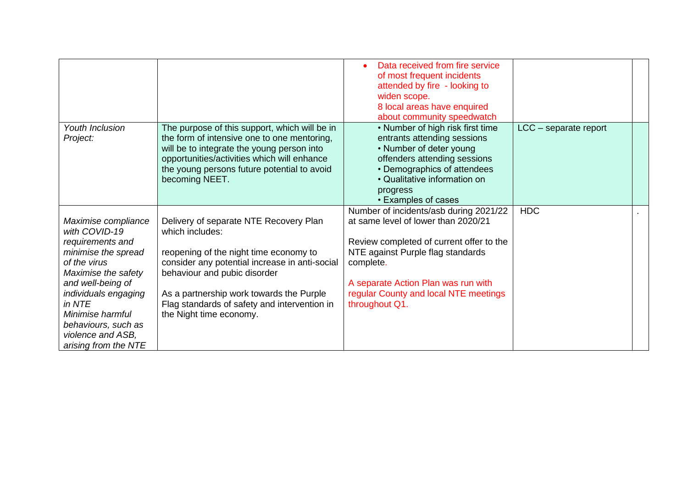|                                                                                                                                                                                                                                                                       |                                                                                                                                                                                                                                                                                                              | Data received from fire service<br>of most frequent incidents<br>attended by fire - looking to<br>widen scope.<br>8 local areas have enquired<br>about community speedwatch                                                                                                   |                       |  |
|-----------------------------------------------------------------------------------------------------------------------------------------------------------------------------------------------------------------------------------------------------------------------|--------------------------------------------------------------------------------------------------------------------------------------------------------------------------------------------------------------------------------------------------------------------------------------------------------------|-------------------------------------------------------------------------------------------------------------------------------------------------------------------------------------------------------------------------------------------------------------------------------|-----------------------|--|
| Youth Inclusion<br>Project:                                                                                                                                                                                                                                           | The purpose of this support, which will be in<br>the form of intensive one to one mentoring,<br>will be to integrate the young person into<br>opportunities/activities which will enhance<br>the young persons future potential to avoid<br>becoming NEET.                                                   | • Number of high risk first time<br>entrants attending sessions<br>• Number of deter young<br>offenders attending sessions<br>• Demographics of attendees<br>• Qualitative information on<br>progress<br>• Examples of cases                                                  | LCC - separate report |  |
| Maximise compliance<br>with COVID-19<br>requirements and<br>minimise the spread<br>of the virus<br>Maximise the safety<br>and well-being of<br>individuals engaging<br>in NTE<br>Minimise harmful<br>behaviours, such as<br>violence and ASB,<br>arising from the NTE | Delivery of separate NTE Recovery Plan<br>which includes:<br>reopening of the night time economy to<br>consider any potential increase in anti-social<br>behaviour and pubic disorder<br>As a partnership work towards the Purple<br>Flag standards of safety and intervention in<br>the Night time economy. | Number of incidents/asb during 2021/22<br>at same level of lower than 2020/21<br>Review completed of current offer to the<br>NTE against Purple flag standards<br>complete.<br>A separate Action Plan was run with<br>regular County and local NTE meetings<br>throughout Q1. | <b>HDC</b>            |  |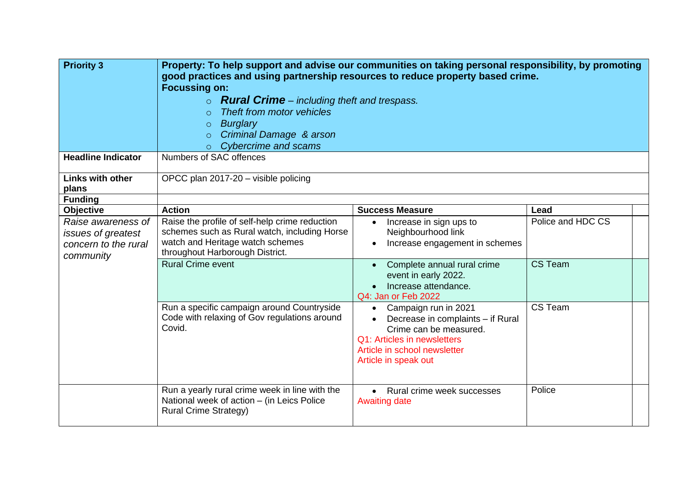| <b>Priority 3</b><br><b>Headline Indicator</b>                                | Property: To help support and advise our communities on taking personal responsibility, by promoting<br>good practices and using partnership resources to reduce property based crime.<br><b>Focussing on:</b><br><b>Rural Crime</b> – including theft and trespass.<br>$\circ$<br>Theft from motor vehicles<br>$\Omega$<br><b>Burglary</b><br>$\circ$<br>Criminal Damage & arson<br>$\circ$<br><b>Cybercrime and scams</b><br>$\circ$ |                                                                                                                                                                              |                   |  |
|-------------------------------------------------------------------------------|----------------------------------------------------------------------------------------------------------------------------------------------------------------------------------------------------------------------------------------------------------------------------------------------------------------------------------------------------------------------------------------------------------------------------------------|------------------------------------------------------------------------------------------------------------------------------------------------------------------------------|-------------------|--|
|                                                                               | Numbers of SAC offences                                                                                                                                                                                                                                                                                                                                                                                                                |                                                                                                                                                                              |                   |  |
| <b>Links with other</b><br>plans                                              | OPCC plan 2017-20 - visible policing                                                                                                                                                                                                                                                                                                                                                                                                   |                                                                                                                                                                              |                   |  |
| <b>Funding</b>                                                                |                                                                                                                                                                                                                                                                                                                                                                                                                                        |                                                                                                                                                                              |                   |  |
| Objective                                                                     | <b>Action</b>                                                                                                                                                                                                                                                                                                                                                                                                                          | <b>Success Measure</b>                                                                                                                                                       | Lead              |  |
| Raise awareness of<br>issues of greatest<br>concern to the rural<br>community | Raise the profile of self-help crime reduction<br>schemes such as Rural watch, including Horse<br>watch and Heritage watch schemes<br>throughout Harborough District.                                                                                                                                                                                                                                                                  | Increase in sign ups to<br>$\bullet$<br>Neighbourhood link<br>Increase engagement in schemes<br>$\bullet$                                                                    | Police and HDC CS |  |
|                                                                               | <b>Rural Crime event</b>                                                                                                                                                                                                                                                                                                                                                                                                               | Complete annual rural crime<br>event in early 2022.<br>Increase attendance.<br>Q4: Jan or Feb 2022                                                                           | CS Team           |  |
|                                                                               | Run a specific campaign around Countryside<br>Code with relaxing of Gov regulations around<br>Covid.                                                                                                                                                                                                                                                                                                                                   | • Campaign run in 2021<br>Decrease in complaints - if Rural<br>Crime can be measured.<br>Q1: Articles in newsletters<br>Article in school newsletter<br>Article in speak out | CS Team           |  |
|                                                                               | Run a yearly rural crime week in line with the<br>National week of action - (in Leics Police<br><b>Rural Crime Strategy)</b>                                                                                                                                                                                                                                                                                                           | • Rural crime week successes<br><b>Awaiting date</b>                                                                                                                         | Police            |  |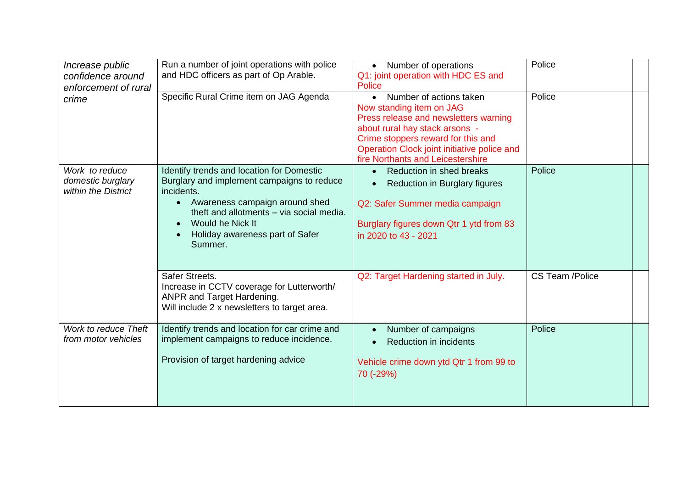| Increase public<br>confidence around<br>enforcement of rural | Run a number of joint operations with police<br>and HDC officers as part of Op Arable.                                                                                                                                                                             | Number of operations<br>Q1: joint operation with HDC ES and<br><b>Police</b>                                                                                                                                                                                          | Police          |
|--------------------------------------------------------------|--------------------------------------------------------------------------------------------------------------------------------------------------------------------------------------------------------------------------------------------------------------------|-----------------------------------------------------------------------------------------------------------------------------------------------------------------------------------------------------------------------------------------------------------------------|-----------------|
| crime                                                        | Specific Rural Crime item on JAG Agenda                                                                                                                                                                                                                            | Number of actions taken<br>$\bullet$<br>Now standing item on JAG<br>Press release and newsletters warning<br>about rural hay stack arsons -<br>Crime stoppers reward for this and<br>Operation Clock joint initiative police and<br>fire Northants and Leicestershire | Police          |
| Work to reduce<br>domestic burglary<br>within the District   | Identify trends and location for Domestic<br>Burglary and implement campaigns to reduce<br>incidents.<br>Awareness campaign around shed<br>$\bullet$<br>theft and allotments - via social media.<br>Would he Nick It<br>Holiday awareness part of Safer<br>Summer. | <b>Reduction in shed breaks</b><br>Reduction in Burglary figures<br>Q2: Safer Summer media campaign<br>Burglary figures down Qtr 1 ytd from 83<br>in 2020 to 43 - 2021                                                                                                | Police          |
|                                                              | Safer Streets.<br>Increase in CCTV coverage for Lutterworth/<br>ANPR and Target Hardening.<br>Will include 2 x newsletters to target area.                                                                                                                         | Q2: Target Hardening started in July.                                                                                                                                                                                                                                 | CS Team /Police |
| Work to reduce Theft<br>from motor vehicles                  | Identify trends and location for car crime and<br>implement campaigns to reduce incidence.<br>Provision of target hardening advice                                                                                                                                 | Number of campaigns<br>Reduction in incidents<br>Vehicle crime down ytd Qtr 1 from 99 to<br>70 (-29%)                                                                                                                                                                 | Police          |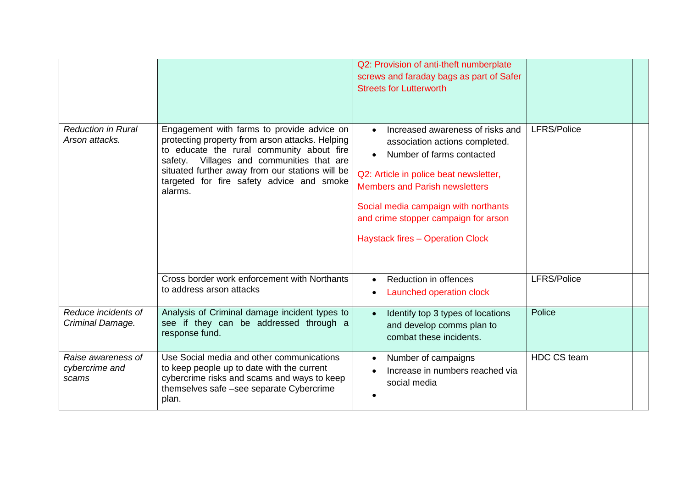|                                               |                                                                                                                                                                                                                                                                                                    | Q2: Provision of anti-theft numberplate<br>screws and faraday bags as part of Safer<br><b>Streets for Lutterworth</b>                                                                                                                                                                                                      |                    |  |
|-----------------------------------------------|----------------------------------------------------------------------------------------------------------------------------------------------------------------------------------------------------------------------------------------------------------------------------------------------------|----------------------------------------------------------------------------------------------------------------------------------------------------------------------------------------------------------------------------------------------------------------------------------------------------------------------------|--------------------|--|
| <b>Reduction in Rural</b><br>Arson attacks.   | Engagement with farms to provide advice on<br>protecting property from arson attacks. Helping<br>to educate the rural community about fire<br>safety. Villages and communities that are<br>situated further away from our stations will be<br>targeted for fire safety advice and smoke<br>alarms. | Increased awareness of risks and<br>$\bullet$<br>association actions completed.<br>Number of farms contacted<br>Q2: Article in police beat newsletter,<br><b>Members and Parish newsletters</b><br>Social media campaign with northants<br>and crime stopper campaign for arson<br><b>Haystack fires - Operation Clock</b> | <b>LFRS/Police</b> |  |
|                                               | Cross border work enforcement with Northants<br>to address arson attacks                                                                                                                                                                                                                           | Reduction in offences<br>Launched operation clock                                                                                                                                                                                                                                                                          | <b>LFRS/Police</b> |  |
| Reduce incidents of<br>Criminal Damage.       | Analysis of Criminal damage incident types to<br>see if they can be addressed through a<br>response fund.                                                                                                                                                                                          | Identify top 3 types of locations<br>$\bullet$<br>and develop comms plan to<br>combat these incidents.                                                                                                                                                                                                                     | Police             |  |
| Raise awareness of<br>cybercrime and<br>scams | Use Social media and other communications<br>to keep people up to date with the current<br>cybercrime risks and scams and ways to keep<br>themselves safe -see separate Cybercrime<br>plan.                                                                                                        | Number of campaigns<br>Increase in numbers reached via<br>social media                                                                                                                                                                                                                                                     | <b>HDC CS team</b> |  |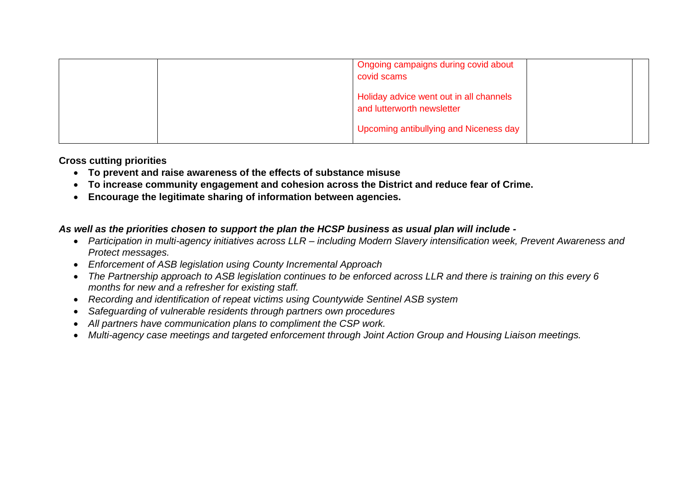|  | Ongoing campaigns during covid about<br>covid scams                   |  |
|--|-----------------------------------------------------------------------|--|
|  | Holiday advice went out in all channels<br>and lutterworth newsletter |  |
|  | Upcoming antibullying and Niceness day                                |  |

**Cross cutting priorities**

- **To prevent and raise awareness of the effects of substance misuse**
- **To increase community engagement and cohesion across the District and reduce fear of Crime.**
- **Encourage the legitimate sharing of information between agencies.**

## *As well as the priorities chosen to support the plan the HCSP business as usual plan will include -*

- *Participation in multi-agency initiatives across LLR – including Modern Slavery intensification week, Prevent Awareness and Protect messages.*
- *Enforcement of ASB legislation using County Incremental Approach*
- *The Partnership approach to ASB legislation continues to be enforced across LLR and there is training on this every 6 months for new and a refresher for existing staff.*
- *Recording and identification of repeat victims using Countywide Sentinel ASB system*
- *Safeguarding of vulnerable residents through partners own procedures*
- *All partners have communication plans to compliment the CSP work.*
- *Multi-agency case meetings and targeted enforcement through Joint Action Group and Housing Liaison meetings.*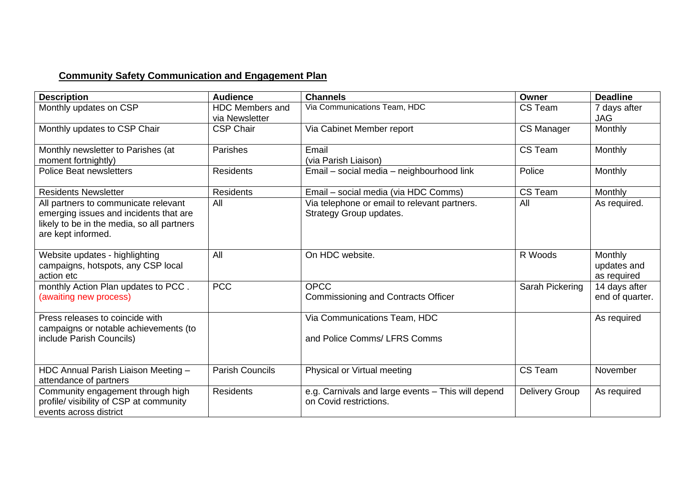## **Community Safety Communication and Engagement Plan**

| <b>Description</b>                                                                                                                                 | <b>Audience</b>                          | <b>Channels</b>                                                              | Owner                 | <b>Deadline</b>                       |
|----------------------------------------------------------------------------------------------------------------------------------------------------|------------------------------------------|------------------------------------------------------------------------------|-----------------------|---------------------------------------|
| Monthly updates on CSP                                                                                                                             | <b>HDC Members and</b><br>via Newsletter | Via Communications Team, HDC                                                 | CS Team               | 7 days after<br><b>JAG</b>            |
| Monthly updates to CSP Chair                                                                                                                       | <b>CSP Chair</b>                         | Via Cabinet Member report                                                    | <b>CS Manager</b>     | <b>Monthly</b>                        |
| Monthly newsletter to Parishes (at<br>moment fortnightly)                                                                                          | <b>Parishes</b>                          | Email<br>(via Parish Liaison)                                                | CS Team               | Monthly                               |
| <b>Police Beat newsletters</b>                                                                                                                     | <b>Residents</b>                         | Email - social media - neighbourhood link                                    | Police                | Monthly                               |
| <b>Residents Newsletter</b>                                                                                                                        | Residents                                | Email - social media (via HDC Comms)                                         | CS Team               | <b>Monthly</b>                        |
| All partners to communicate relevant<br>emerging issues and incidents that are<br>likely to be in the media, so all partners<br>are kept informed. | All                                      | Via telephone or email to relevant partners.<br>Strategy Group updates.      | All                   | As required.                          |
| Website updates - highlighting<br>campaigns, hotspots, any CSP local<br>action etc                                                                 | All                                      | On HDC website.                                                              | R Woods               | Monthly<br>updates and<br>as required |
| monthly Action Plan updates to PCC.<br>(awaiting new process)                                                                                      | <b>PCC</b>                               | <b>OPCC</b><br><b>Commissioning and Contracts Officer</b>                    | Sarah Pickering       | 14 days after<br>end of quarter.      |
| Press releases to coincide with<br>campaigns or notable achievements (to<br>include Parish Councils)                                               |                                          | Via Communications Team, HDC<br>and Police Comms/ LFRS Comms                 |                       | As required                           |
| HDC Annual Parish Liaison Meeting -<br>attendance of partners                                                                                      | <b>Parish Councils</b>                   | Physical or Virtual meeting                                                  | CS Team               | November                              |
| Community engagement through high<br>profile/ visibility of CSP at community<br>events across district                                             | <b>Residents</b>                         | e.g. Carnivals and large events - This will depend<br>on Covid restrictions. | <b>Delivery Group</b> | As required                           |